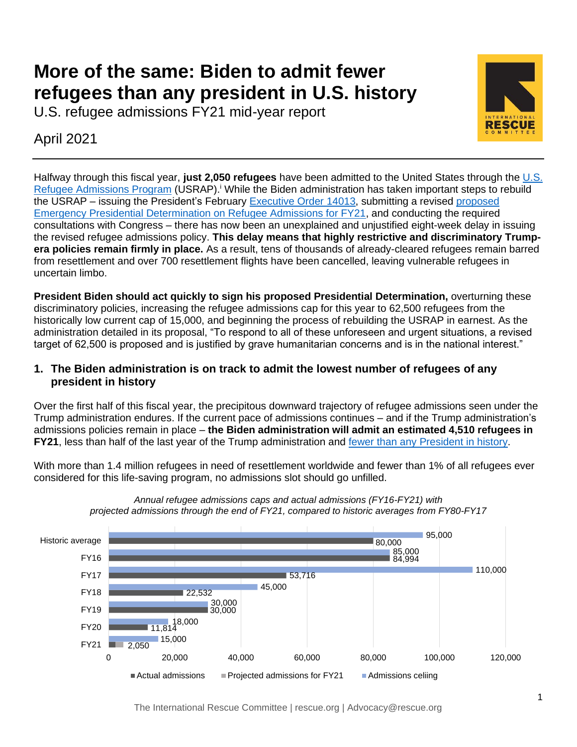# **More of the same: Biden to admit fewer refugees than any president in U.S. history**

U.S. refugee admissions FY21 mid-year report

April 2021



Halfway through this fiscal year, **just 2,050 refugees** have been admitted to the United States through the [U.S.](https://www.rescue.org/topic/refugees-america)  [Refugee Admissions Program](https://www.rescue.org/topic/refugees-america) (USRAP).<sup>i</sup> While the Biden administration has taken important steps to rebuild the USRAP – issuing the President's February [Executive Order 14013,](https://www.whitehouse.gov/briefing-room/presidential-actions/2021/02/04/executive-order-on-rebuilding-and-enhancing-programs-to-resettle-refugees-and-planning-for-the-impact-of-climate-change-on-migration/) submitting a revised [proposed](https://www.state.gov/proposed-emergency-presidential-determination-on-refugee-admissions-for-fy21/)  [Emergency Presidential Determination on Refugee Admissions for FY21,](https://www.state.gov/proposed-emergency-presidential-determination-on-refugee-admissions-for-fy21/) and conducting the required consultations with Congress – there has now been an unexplained and unjustified eight-week delay in issuing the revised refugee admissions policy. **This delay means that highly restrictive and discriminatory Trumpera policies remain firmly in place.** As a result, tens of thousands of already-cleared refugees remain barred from resettlement and over 700 resettlement flights have been cancelled, leaving vulnerable refugees in uncertain limbo.

**President Biden should act quickly to sign his proposed Presidential Determination,** overturning these discriminatory policies, increasing the refugee admissions cap for this year to 62,500 refugees from the historically low current cap of 15,000, and beginning the process of rebuilding the USRAP in earnest. As the administration detailed in its proposal, "To respond to all of these unforeseen and urgent situations, a revised target of 62,500 is proposed and is justified by grave humanitarian concerns and is in the national interest."

### **1. The Biden administration is on track to admit the lowest number of refugees of any president in history**

Over the first half of this fiscal year, the precipitous downward trajectory of refugee admissions seen under the Trump administration endures. If the current pace of admissions continues – and if the Trump administration's admissions policies remain in place – **the Biden administration will admit an estimated 4,510 refugees in FY21**, less than half of the last year of the Trump administration and [fewer than any President](https://www.migrationpolicy.org/programs/data-hub/charts/us-annual-refugee-resettlement-ceilings-and-number-refugees-admitted-united) in history.

With more than 1.4 million refugees in need of resettlement worldwide and fewer than 1% of all refugees ever considered for this life-saving program, no admissions slot should go unfilled.



*Annual refugee admissions caps and actual admissions (FY16-FY21) with projected admissions through the end of FY21, compared to historic averages from FY80-FY17*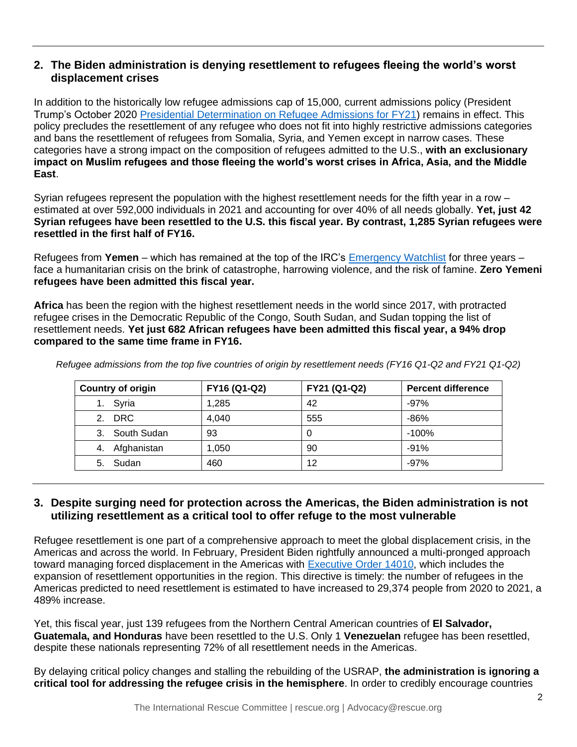#### **2. The Biden administration is denying resettlement to refugees fleeing the world's worst displacement crises**

In addition to the historically low refugee admissions cap of 15,000, current admissions policy (President Trump's October 2020 [Presidential Determination on Refugee Admissions for FY21\)](https://www.federalregister.gov/documents/2020/11/06/2020-24912/presidential-determination-on-refugee-admissions-for-fiscal-year-2021) remains in effect. This policy precludes the resettlement of any refugee who does not fit into highly restrictive admissions categories and bans the resettlement of refugees from Somalia, Syria, and Yemen except in narrow cases. These categories have a strong impact on the composition of refugees admitted to the U.S., **with an exclusionary impact on Muslim refugees and those fleeing the world's worst crises in Africa, Asia, and the Middle East**.

Syrian refugees represent the population with the highest resettlement needs for the fifth year in a row – estimated at over 592,000 individuals in 2021 and accounting for over 40% of all needs globally. **Yet, just 42 Syrian refugees have been resettled to the U.S. this fiscal year. By contrast, 1,285 Syrian refugees were resettled in the first half of FY16.**

Refugees from **Yemen** – which has remained at the top of the IRC's [Emergency Watchlist](https://www.rescue.org/sites/default/files/document/5481/2021emergencywatchlistirc.pdf) for three years – face a humanitarian crisis on the brink of catastrophe, harrowing violence, and the risk of famine. **Zero Yemeni refugees have been admitted this fiscal year.**

**Africa** has been the region with the highest resettlement needs in the world since 2017, with protracted refugee crises in the Democratic Republic of the Congo, South Sudan, and Sudan topping the list of resettlement needs. **Yet just 682 African refugees have been admitted this fiscal year, a 94% drop compared to the same time frame in FY16.** 

| <b>Country of origin</b> | FY16 (Q1-Q2) | FY21 (Q1-Q2) | <b>Percent difference</b> |
|--------------------------|--------------|--------------|---------------------------|
| 1. Syria                 | 1,285        | 42           | $-97%$                    |
| 2. DRC                   | 4,040        | 555          | $-86%$                    |
| 3. South Sudan           | 93           | 0            | $-100%$                   |
| Afghanistan<br>4.        | 1,050        | 90           | $-91%$                    |
| Sudan<br>5.              | 460          | 12           | $-97%$                    |

*Refugee admissions from the top five countries of origin by resettlement needs (FY16 Q1-Q2 and FY21 Q1-Q2)*

#### **3. Despite surging need for protection across the Americas, the Biden administration is not utilizing resettlement as a critical tool to offer refuge to the most vulnerable**

Refugee resettlement is one part of a comprehensive approach to meet the global displacement crisis, in the Americas and across the world. In February, President Biden rightfully announced a multi-pronged approach toward managing forced displacement in the Americas with [Executive Order 14010,](https://www.whitehouse.gov/briefing-room/presidential-actions/2021/02/02/executive-order-creating-a-comprehensive-regional-framework-to-address-the-causes-of-migration-to-manage-migration-throughout-north-and-central-america-and-to-provide-safe-and-orderly-processing/) which includes the expansion of resettlement opportunities in the region. This directive is timely: the number of refugees in the Americas predicted to need resettlement is estimated to have increased to 29,374 people from 2020 to 2021, a 489% increase.

Yet, this fiscal year, just 139 refugees from the Northern Central American countries of **El Salvador, Guatemala, and Honduras** have been resettled to the U.S. Only 1 **Venezuelan** refugee has been resettled, despite these nationals representing 72% of all resettlement needs in the Americas.

By delaying critical policy changes and stalling the rebuilding of the USRAP, **the administration is ignoring a critical tool for addressing the refugee crisis in the hemisphere**. In order to credibly encourage countries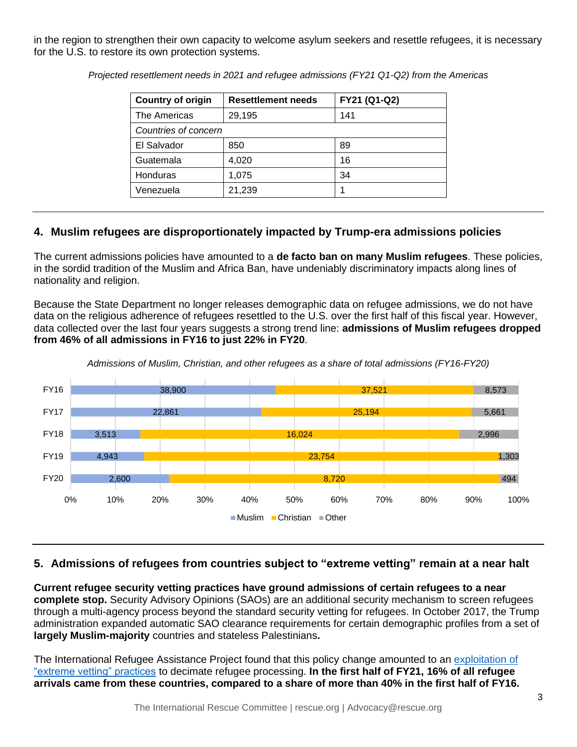in the region to strengthen their own capacity to welcome asylum seekers and resettle refugees, it is necessary for the U.S. to restore its own protection systems.

| <b>Country of origin</b> | <b>Resettlement needs</b> | FY21 (Q1-Q2) |  |  |
|--------------------------|---------------------------|--------------|--|--|
| The Americas             | 29,195                    | 141          |  |  |
| Countries of concern     |                           |              |  |  |
| El Salvador              | 850                       | 89           |  |  |
| Guatemala                | 4,020                     | 16           |  |  |
| Honduras                 | 1,075                     | 34           |  |  |
| Venezuela                | 21,239                    |              |  |  |

*Projected resettlement needs in 2021 and refugee admissions (FY21 Q1-Q2) from the Americas* 

## **4. Muslim refugees are disproportionately impacted by Trump-era admissions policies**

The current admissions policies have amounted to a **de facto ban on many Muslim refugees**. These policies, in the sordid tradition of the Muslim and Africa Ban, have undeniably discriminatory impacts along lines of nationality and religion.

Because the State Department no longer releases demographic data on refugee admissions, we do not have data on the religious adherence of refugees resettled to the U.S. over the first half of this fiscal year. However, data collected over the last four years suggests a strong trend line: **admissions of Muslim refugees dropped from 46% of all admissions in FY16 to just 22% in FY20**.



*Admissions of Muslim, Christian, and other refugees as a share of total admissions (FY16-FY20)*

#### **5. Admissions of refugees from countries subject to "extreme vetting" remain at a near halt**

**Current refugee security vetting practices have ground admissions of certain refugees to a near complete stop.** Security Advisory Opinions (SAOs) are an additional security mechanism to screen refugees through a multi-agency process beyond the standard security vetting for refugees. In October 2017, the Trump administration expanded automatic SAO clearance requirements for certain demographic profiles from a set of **largely Muslim-majority** countries and stateless Palestinians**.**

The International Refugee Assistance Project found that this policy change amounted to an [exploitation of](https://refugeerights.org/news-resources/press-release-irap-report-reveals-trump-administration-exploiting-extreme-vetting-to-decimate-refugee-program)  ["extreme vetting" practices](https://refugeerights.org/news-resources/press-release-irap-report-reveals-trump-administration-exploiting-extreme-vetting-to-decimate-refugee-program) to decimate refugee processing. **In the first half of FY21, 16% of all refugee arrivals came from these countries, compared to a share of more than 40% in the first half of FY16.**